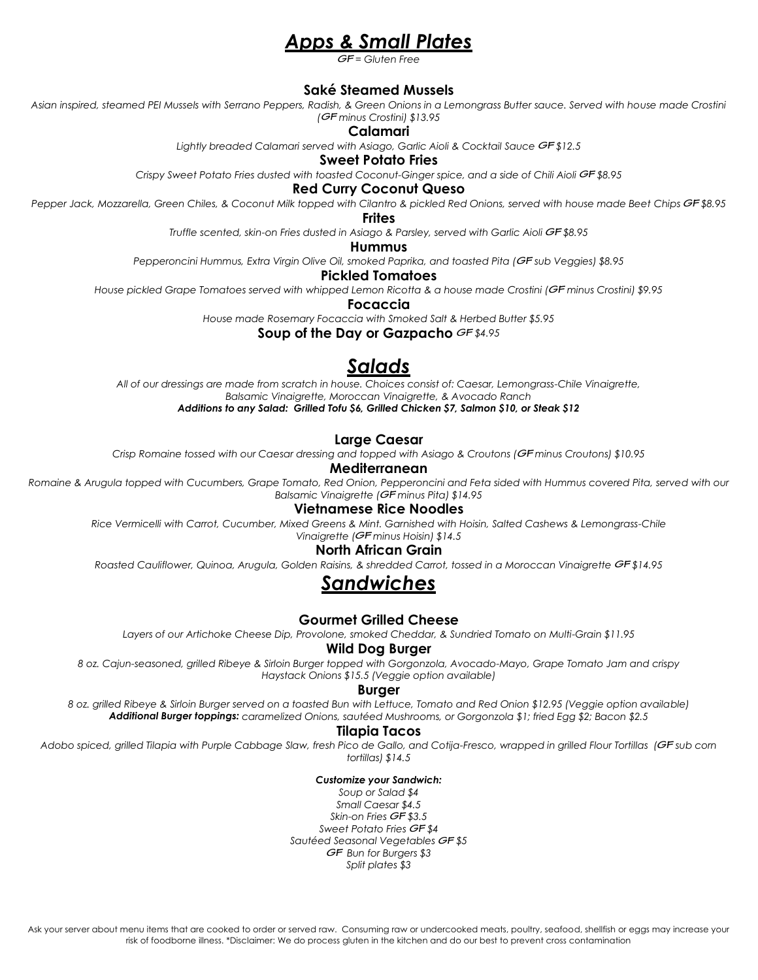# *Apps & Small Plates*

*= Gluten Free*

## **Saké Steamed Mussels**

*Asian inspired, steamed PEI Mussels with Serrano Peppers, Radish, & Green Onions in a Lemongrass Butter sauce. Served with house made Crostini ( minus Crostini) \$13.95*

**Calamari**

Lightly breaded Calamari served with Asiago, Garlic Aioli & Cocktail Sauce GF\$12.5

**Sweet Potato Fries**

Crispy Sweet Potato Fries dusted with toasted Coconut-Ginger spice, and a side of Chili Aioli GF \$8.95

**Red Curry Coconut Queso**

Pepper Jack, Mozzarella, Green Chiles, & Coconut Milk topped with Cilantro & pickled Red Onions, served with house made Beet Chips GF \$8.95

**Frites**

*Truffle scented, skin-on Fries dusted in Asiago & Parsley, served with Garlic Aioli GF \$8.95* 

**Hummus**

*Pepperoncini Hummus, Extra Virgin Olive Oil, smoked Paprika, and toasted Pita ( sub Veggies) \$8.95*

**Pickled Tomatoes**

*House pickled Grape Tomatoes served with whipped Lemon Ricotta & a house made Crostini ( minus Crostini) \$9.95*

**Focaccia**

*House made Rosemary Focaccia with Smoked Salt & Herbed Butter \$5.95*

**Soup of the Day or Gazpacho** *\$4.95*

# *Salads*

*All of our dressings are made from scratch in house. Choices consist of: Caesar, Lemongrass-Chile Vinaigrette, Balsamic Vinaigrette, Moroccan Vinaigrette, & Avocado Ranch Additions to any Salad: Grilled Tofu \$6, Grilled Chicken \$7, Salmon \$10, or Steak \$12*

**Large Caesar**

*Crisp Romaine tossed with our Caesar dressing and topped with Asiago & Croutons ( minus Croutons) \$10.95*

### **Mediterranean**

*Romaine & Arugula topped with Cucumbers, Grape Tomato, Red Onion, Pepperoncini and Feta sided with Hummus covered Pita, served with our Balsamic Vinaigrette ( minus Pita) \$14.95* 

**Vietnamese Rice Noodles**

*Rice Vermicelli with Carrot, Cucumber, Mixed Greens & Mint. Garnished with Hoisin, Salted Cashews & Lemongrass-Chile Vinaigrette (GF minus Hoisin)* \$14.5

## **North African Grain**

*Roasted Cauliflower, Quinoa, Arugula, Golden Raisins, & shredded Carrot, tossed in a Moroccan Vinaigrette \$14.95* 

# *Sandwiches*

## **Gourmet Grilled Cheese**

*Layers of our Artichoke Cheese Dip, Provolone, smoked Cheddar, & Sundried Tomato on Multi-Grain \$11.95*

### **Wild Dog Burger**

*8 oz. Cajun-seasoned, grilled Ribeye & Sirloin Burger topped with Gorgonzola, Avocado-Mayo, Grape Tomato Jam and crispy Haystack Onions \$15.5 (Veggie option available)*

#### **Burger**

*8 oz. grilled Ribeye & Sirloin Burger served on a toasted Bun with Lettuce, Tomato and Red Onion \$12.95 (Veggie option available) Additional Burger toppings: caramelized Onions, sautéed Mushrooms, or Gorgonzola \$1; fried Egg \$2; Bacon \$2.5*

#### **Tilapia Tacos**

Adobo spiced, grilled Tilapia with Purple Cabbage Slaw, fresh Pico de Gallo, and Cotija-Fresco, wrapped in grilled Flour Tortillas (GF sub corn *tortillas) \$14.5*

#### *Customize your Sandwich:*

*Soup or Salad \$4 Small Caesar \$4.5* Skin-on Fries **GF** \$3.5 *Sweet Potato Fries \$4* Sautéed Seasonal Vegetables GF \$5 *Bun for Burgers \$3 Split plates \$3*